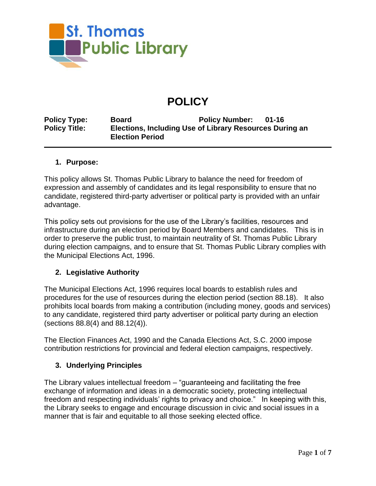

# **POLICY**

**Policy Type: Board Policy Number: 01-16 Policy Title: Elections, Including Use of Library Resources During an Election Period**

#### **1. Purpose:**

This policy allows St. Thomas Public Library to balance the need for freedom of expression and assembly of candidates and its legal responsibility to ensure that no candidate, registered third-party advertiser or political party is provided with an unfair advantage.

This policy sets out provisions for the use of the Library's facilities, resources and infrastructure during an election period by Board Members and candidates. This is in order to preserve the public trust, to maintain neutrality of St. Thomas Public Library during election campaigns, and to ensure that St. Thomas Public Library complies with the Municipal Elections Act, 1996.

## **2. Legislative Authority**

The Municipal Elections Act, 1996 requires local boards to establish rules and procedures for the use of resources during the election period (section 88.18). It also prohibits local boards from making a contribution (including money, goods and services) to any candidate, registered third party advertiser or political party during an election (sections 88.8(4) and 88.12(4)).

The Election Finances Act, 1990 and the Canada Elections Act, S.C. 2000 impose contribution restrictions for provincial and federal election campaigns, respectively.

## **3. Underlying Principles**

The Library values intellectual freedom – "guaranteeing and facilitating the free exchange of information and ideas in a democratic society, protecting intellectual freedom and respecting individuals' rights to privacy and choice." In keeping with this, the Library seeks to engage and encourage discussion in civic and social issues in a manner that is fair and equitable to all those seeking elected office.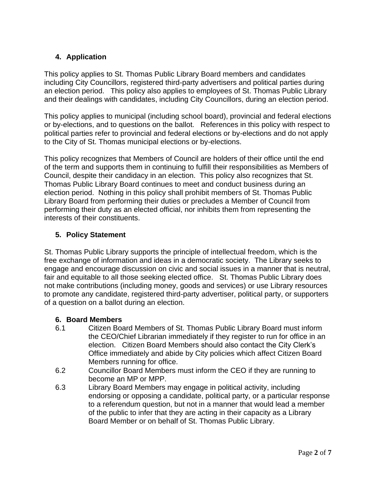# **4. Application**

This policy applies to St. Thomas Public Library Board members and candidates including City Councillors, registered third-party advertisers and political parties during an election period. This policy also applies to employees of St. Thomas Public Library and their dealings with candidates, including City Councillors, during an election period.

This policy applies to municipal (including school board), provincial and federal elections or by-elections, and to questions on the ballot. References in this policy with respect to political parties refer to provincial and federal elections or by-elections and do not apply to the City of St. Thomas municipal elections or by-elections.

This policy recognizes that Members of Council are holders of their office until the end of the term and supports them in continuing to fulfill their responsibilities as Members of Council, despite their candidacy in an election. This policy also recognizes that St. Thomas Public Library Board continues to meet and conduct business during an election period. Nothing in this policy shall prohibit members of St. Thomas Public Library Board from performing their duties or precludes a Member of Council from performing their duty as an elected official, nor inhibits them from representing the interests of their constituents.

## **5. Policy Statement**

St. Thomas Public Library supports the principle of intellectual freedom, which is the free exchange of information and ideas in a democratic society. The Library seeks to engage and encourage discussion on civic and social issues in a manner that is neutral, fair and equitable to all those seeking elected office. St. Thomas Public Library does not make contributions (including money, goods and services) or use Library resources to promote any candidate, registered third-party advertiser, political party, or supporters of a question on a ballot during an election.

## **6. Board Members**

- 6.1 Citizen Board Members of St. Thomas Public Library Board must inform the CEO/Chief Librarian immediately if they register to run for office in an election. Citizen Board Members should also contact the City Clerk's Office immediately and abide by City policies which affect Citizen Board Members running for office.
- 6.2 Councillor Board Members must inform the CEO if they are running to become an MP or MPP.
- 6.3 Library Board Members may engage in political activity, including endorsing or opposing a candidate, political party, or a particular response to a referendum question, but not in a manner that would lead a member of the public to infer that they are acting in their capacity as a Library Board Member or on behalf of St. Thomas Public Library.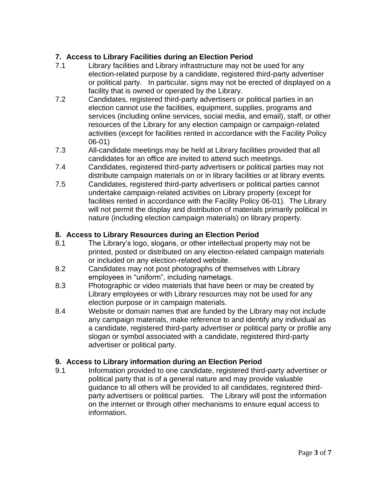# **7. Access to Library Facilities during an Election Period**

- 7.1 Library facilities and Library infrastructure may not be used for any election-related purpose by a candidate, registered third-party advertiser or political party. In particular, signs may not be erected of displayed on a facility that is owned or operated by the Library.
- 7.2 Candidates, registered third-party advertisers or political parties in an election cannot use the facilities, equipment, supplies, programs and services (including online services, social media, and email), staff, or other resources of the Library for any election campaign or campaign-related activities (except for facilities rented in accordance with the Facility Policy 06-01)
- 7.3 All-candidate meetings may be held at Library facilities provided that all candidates for an office are invited to attend such meetings.
- 7.4 Candidates, registered third-party advertisers or political parties may not distribute campaign materials on or in library facilities or at library events.
- 7.5 Candidates, registered third-party advertisers or political parties cannot undertake campaign-related activities on Library property (except for facilities rented in accordance with the Facility Policy 06-01). The Library will not permit the display and distribution of materials primarily political in nature (including election campaign materials) on library property.

## **8. Access to Library Resources during an Election Period**

- 8.1 The Library's logo, slogans, or other intellectual property may not be printed, posted or distributed on any election-related campaign materials or included on any election-related website.
- 8.2 Candidates may not post photographs of themselves with Library employees in "uniform", including nametags.
- 8.3 Photographic or video materials that have been or may be created by Library employees or with Library resources may not be used for any election purpose or in campaign materials.
- 8.4 Website or domain names that are funded by the Library may not include any campaign materials, make reference to and identify any individual as a candidate, registered third-party advertiser or political party or profile any slogan or symbol associated with a candidate, registered third-party advertiser or political party.

## **9. Access to Library information during an Election Period**

9.1 Information provided to one candidate, registered third-party advertiser or political party that is of a general nature and may provide valuable guidance to all others will be provided to all candidates, registered thirdparty advertisers or political parties. The Library will post the information on the internet or through other mechanisms to ensure equal access to information.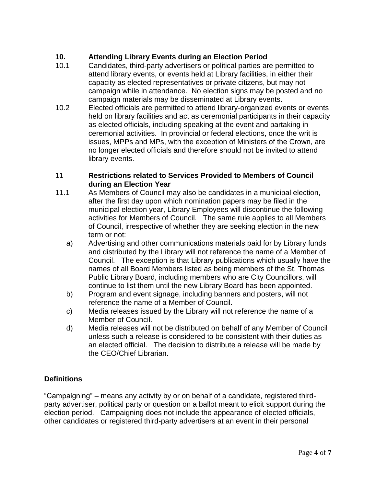# **10. Attending Library Events during an Election Period**

- 10.1 Candidates, third-party advertisers or political parties are permitted to attend library events, or events held at Library facilities, in either their capacity as elected representatives or private citizens, but may not campaign while in attendance. No election signs may be posted and no campaign materials may be disseminated at Library events.
- 10.2 Elected officials are permitted to attend library-organized events or events held on library facilities and act as ceremonial participants in their capacity as elected officials, including speaking at the event and partaking in ceremonial activities. In provincial or federal elections, once the writ is issues, MPPs and MPs, with the exception of Ministers of the Crown, are no longer elected officials and therefore should not be invited to attend library events.

## 11 **Restrictions related to Services Provided to Members of Council during an Election Year**

- 11.1 As Members of Council may also be candidates in a municipal election, after the first day upon which nomination papers may be filed in the municipal election year, Library Employees will discontinue the following activities for Members of Council. The same rule applies to all Members of Council, irrespective of whether they are seeking election in the new term or not:
	- a) Advertising and other communications materials paid for by Library funds and distributed by the Library will not reference the name of a Member of Council. The exception is that Library publications which usually have the names of all Board Members listed as being members of the St. Thomas Public Library Board, including members who are City Councillors, will continue to list them until the new Library Board has been appointed.
	- b) Program and event signage, including banners and posters, will not reference the name of a Member of Council.
	- c) Media releases issued by the Library will not reference the name of a Member of Council.
	- d) Media releases will not be distributed on behalf of any Member of Council unless such a release is considered to be consistent with their duties as an elected official. The decision to distribute a release will be made by the CEO/Chief Librarian.

## **Definitions**

"Campaigning" – means any activity by or on behalf of a candidate, registered thirdparty advertiser, political party or question on a ballot meant to elicit support during the election period. Campaigning does not include the appearance of elected officials, other candidates or registered third-party advertisers at an event in their personal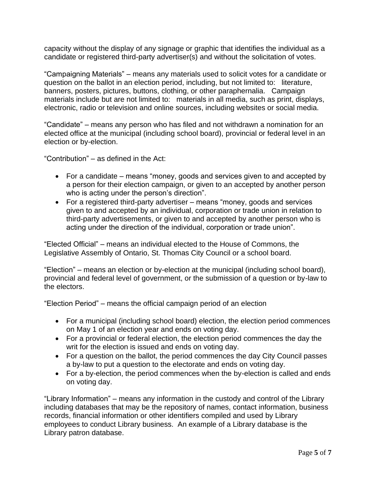capacity without the display of any signage or graphic that identifies the individual as a candidate or registered third-party advertiser(s) and without the solicitation of votes.

"Campaigning Materials" – means any materials used to solicit votes for a candidate or question on the ballot in an election period, including, but not limited to: literature, banners, posters, pictures, buttons, clothing, or other paraphernalia. Campaign materials include but are not limited to: materials in all media, such as print, displays, electronic, radio or television and online sources, including websites or social media.

"Candidate" – means any person who has filed and not withdrawn a nomination for an elected office at the municipal (including school board), provincial or federal level in an election or by-election.

"Contribution" – as defined in the Act:

- For a candidate means "money, goods and services given to and accepted by a person for their election campaign, or given to an accepted by another person who is acting under the person's direction".
- For a registered third-party advertiser means "money, goods and services given to and accepted by an individual, corporation or trade union in relation to third-party advertisements, or given to and accepted by another person who is acting under the direction of the individual, corporation or trade union".

"Elected Official" – means an individual elected to the House of Commons, the Legislative Assembly of Ontario, St. Thomas City Council or a school board.

"Election" – means an election or by-election at the municipal (including school board), provincial and federal level of government, or the submission of a question or by-law to the electors.

"Election Period" – means the official campaign period of an election

- For a municipal (including school board) election, the election period commences on May 1 of an election year and ends on voting day.
- For a provincial or federal election, the election period commences the day the writ for the election is issued and ends on voting day.
- For a question on the ballot, the period commences the day City Council passes a by-law to put a question to the electorate and ends on voting day.
- For a by-election, the period commences when the by-election is called and ends on voting day.

"Library Information" – means any information in the custody and control of the Library including databases that may be the repository of names, contact information, business records, financial information or other identifiers compiled and used by Library employees to conduct Library business. An example of a Library database is the Library patron database.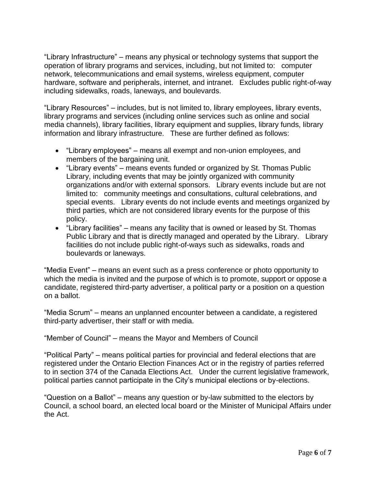"Library Infrastructure" – means any physical or technology systems that support the operation of library programs and services, including, but not limited to: computer network, telecommunications and email systems, wireless equipment, computer hardware, software and peripherals, internet, and intranet. Excludes public right-of-way including sidewalks, roads, laneways, and boulevards.

"Library Resources" – includes, but is not limited to, library employees, library events, library programs and services (including online services such as online and social media channels), library facilities, library equipment and supplies, library funds, library information and library infrastructure. These are further defined as follows:

- "Library employees" means all exempt and non-union employees, and members of the bargaining unit.
- "Library events" means events funded or organized by St. Thomas Public Library, including events that may be jointly organized with community organizations and/or with external sponsors. Library events include but are not limited to: community meetings and consultations, cultural celebrations, and special events. Library events do not include events and meetings organized by third parties, which are not considered library events for the purpose of this policy.
- "Library facilities" means any facility that is owned or leased by St. Thomas Public Library and that is directly managed and operated by the Library. Library facilities do not include public right-of-ways such as sidewalks, roads and boulevards or laneways.

"Media Event" – means an event such as a press conference or photo opportunity to which the media is invited and the purpose of which is to promote, support or oppose a candidate, registered third-party advertiser, a political party or a position on a question on a ballot.

"Media Scrum" – means an unplanned encounter between a candidate, a registered third-party advertiser, their staff or with media.

"Member of Council" – means the Mayor and Members of Council

"Political Party" – means political parties for provincial and federal elections that are registered under the Ontario Election Finances Act or in the registry of parties referred to in section 374 of the Canada Elections Act. Under the current legislative framework, political parties cannot participate in the City's municipal elections or by-elections.

"Question on a Ballot" – means any question or by-law submitted to the electors by Council, a school board, an elected local board or the Minister of Municipal Affairs under the Act.